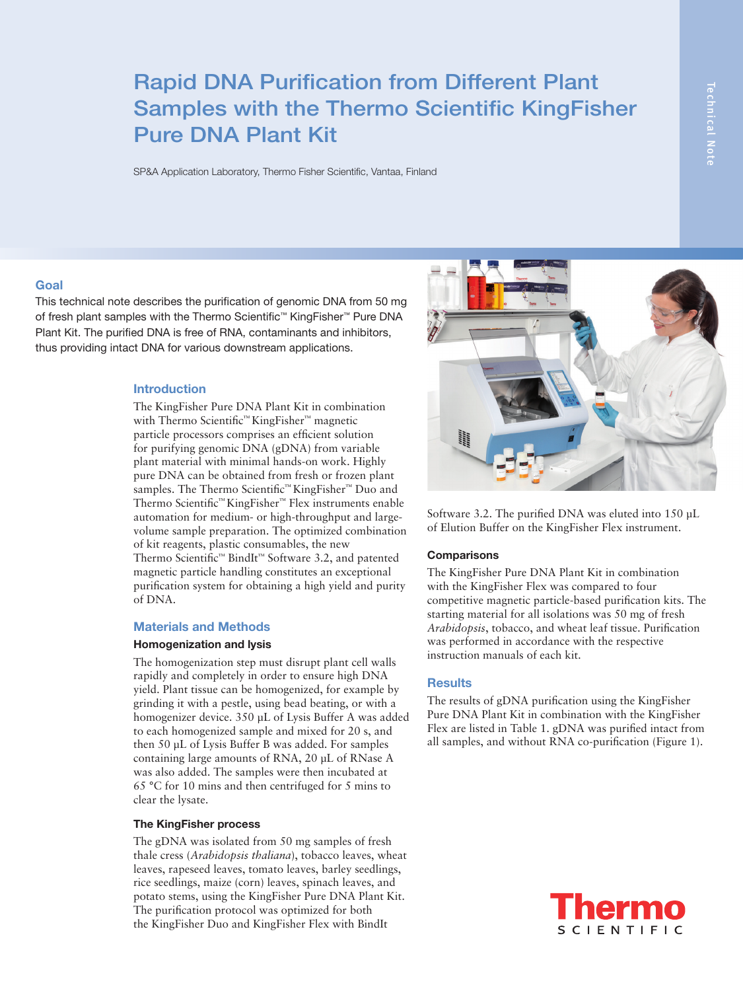# Rapid DNA Purification from Different Plant Samples with the Thermo Scientific KingFisher Pure DNA Plant Kit

SP&A Application Laboratory, Thermo Fisher Scientific, Vantaa, Finland

## **Goal**

This technical note describes the purification of genomic DNA from 50 mg of fresh plant samples with the Thermo Scientific™ KingFisher™ Pure DNA Plant Kit. The purified DNA is free of RNA, contaminants and inhibitors, thus providing intact DNA for various downstream applications.

## **Introduction**

The KingFisher Pure DNA Plant Kit in combination with Thermo Scientific™ KingFisher™ magnetic particle processors comprises an efficient solution for purifying genomic DNA (gDNA) from variable plant material with minimal hands-on work. Highly pure DNA can be obtained from fresh or frozen plant samples. The Thermo Scientific™ KingFisher™ Duo and Thermo Scientific™ KingFisher™ Flex instruments enable automation for medium- or high-throughput and largevolume sample preparation. The optimized combination of kit reagents, plastic consumables, the new Thermo Scientific™ BindIt™ Software 3.2, and patented magnetic particle handling constitutes an exceptional purification system for obtaining a high yield and purity of DNA.

#### **Materials and Methods**

#### **Homogenization and lysis**

The homogenization step must disrupt plant cell walls rapidly and completely in order to ensure high DNA yield. Plant tissue can be homogenized, for example by grinding it with a pestle, using bead beating, or with a homogenizer device. 350 μL of Lysis Buffer A was added to each homogenized sample and mixed for 20 s, and then 50 µL of Lysis Buffer B was added. For samples containing large amounts of RNA, 20 µL of RNase A was also added. The samples were then incubated at 65 °C for 10 mins and then centrifuged for 5 mins to clear the lysate.

#### **The KingFisher process**

The gDNA was isolated from 50 mg samples of fresh thale cress (*Arabidopsis thaliana*), tobacco leaves, wheat leaves, rapeseed leaves, tomato leaves, barley seedlings, rice seedlings, maize (corn) leaves, spinach leaves, and potato stems, using the KingFisher Pure DNA Plant Kit. The purification protocol was optimized for both the KingFisher Duo and KingFisher Flex with BindIt



Software 3.2. The purified DNA was eluted into 150 μL of Elution Buffer on the KingFisher Flex instrument.

## **Comparisons**

The KingFisher Pure DNA Plant Kit in combination with the KingFisher Flex was compared to four competitive magnetic particle-based purification kits. The starting material for all isolations was 50 mg of fresh *Arabidopsis*, tobacco, and wheat leaf tissue. Purification was performed in accordance with the respective instruction manuals of each kit.

## **Results**

The results of gDNA purification using the KingFisher Pure DNA Plant Kit in combination with the KingFisher Flex are listed in Table 1. gDNA was purified intact from all samples, and without RNA co-purification (Figure 1).